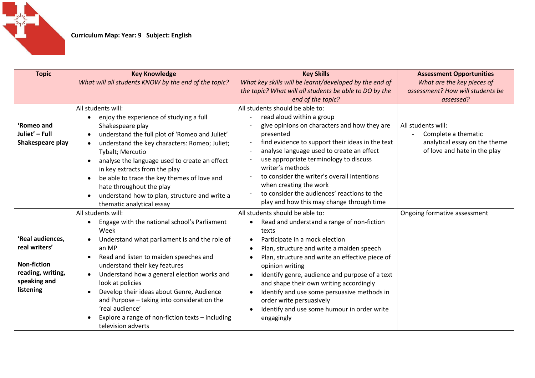

| <b>Topic</b>                                                                                              | <b>Key Knowledge</b>                                                                                                                                                                                                                                                                                                                                                                                                                                                        | <b>Key Skills</b>                                                                                                                                                                                                                                                                                                                                                                                                                                                                                                                                 | <b>Assessment Opportunities</b>  |
|-----------------------------------------------------------------------------------------------------------|-----------------------------------------------------------------------------------------------------------------------------------------------------------------------------------------------------------------------------------------------------------------------------------------------------------------------------------------------------------------------------------------------------------------------------------------------------------------------------|---------------------------------------------------------------------------------------------------------------------------------------------------------------------------------------------------------------------------------------------------------------------------------------------------------------------------------------------------------------------------------------------------------------------------------------------------------------------------------------------------------------------------------------------------|----------------------------------|
|                                                                                                           | What will all students KNOW by the end of the topic?                                                                                                                                                                                                                                                                                                                                                                                                                        | What key skills will be learnt/developed by the end of                                                                                                                                                                                                                                                                                                                                                                                                                                                                                            | What are the key pieces of       |
|                                                                                                           |                                                                                                                                                                                                                                                                                                                                                                                                                                                                             | the topic? What will all students be able to DO by the                                                                                                                                                                                                                                                                                                                                                                                                                                                                                            | assessment? How will students be |
|                                                                                                           |                                                                                                                                                                                                                                                                                                                                                                                                                                                                             | end of the topic?                                                                                                                                                                                                                                                                                                                                                                                                                                                                                                                                 | assessed?                        |
|                                                                                                           | All students will:                                                                                                                                                                                                                                                                                                                                                                                                                                                          | All students should be able to:                                                                                                                                                                                                                                                                                                                                                                                                                                                                                                                   |                                  |
|                                                                                                           | enjoy the experience of studying a full                                                                                                                                                                                                                                                                                                                                                                                                                                     | read aloud within a group                                                                                                                                                                                                                                                                                                                                                                                                                                                                                                                         |                                  |
| 'Romeo and                                                                                                | Shakespeare play                                                                                                                                                                                                                                                                                                                                                                                                                                                            | give opinions on characters and how they are                                                                                                                                                                                                                                                                                                                                                                                                                                                                                                      | All students will:               |
| Juliet' - Full                                                                                            | understand the full plot of 'Romeo and Juliet'                                                                                                                                                                                                                                                                                                                                                                                                                              | presented                                                                                                                                                                                                                                                                                                                                                                                                                                                                                                                                         | Complete a thematic              |
| Shakespeare play                                                                                          | understand the key characters: Romeo; Juliet;                                                                                                                                                                                                                                                                                                                                                                                                                               | find evidence to support their ideas in the text                                                                                                                                                                                                                                                                                                                                                                                                                                                                                                  | analytical essay on the theme    |
|                                                                                                           | Tybalt; Mercutio                                                                                                                                                                                                                                                                                                                                                                                                                                                            | analyse language used to create an effect                                                                                                                                                                                                                                                                                                                                                                                                                                                                                                         | of love and hate in the play     |
|                                                                                                           | analyse the language used to create an effect                                                                                                                                                                                                                                                                                                                                                                                                                               | use appropriate terminology to discuss                                                                                                                                                                                                                                                                                                                                                                                                                                                                                                            |                                  |
|                                                                                                           | in key extracts from the play                                                                                                                                                                                                                                                                                                                                                                                                                                               | writer's methods                                                                                                                                                                                                                                                                                                                                                                                                                                                                                                                                  |                                  |
|                                                                                                           | be able to trace the key themes of love and<br>$\bullet$                                                                                                                                                                                                                                                                                                                                                                                                                    | to consider the writer's overall intentions                                                                                                                                                                                                                                                                                                                                                                                                                                                                                                       |                                  |
|                                                                                                           | hate throughout the play                                                                                                                                                                                                                                                                                                                                                                                                                                                    | when creating the work                                                                                                                                                                                                                                                                                                                                                                                                                                                                                                                            |                                  |
|                                                                                                           | understand how to plan, structure and write a<br>$\bullet$                                                                                                                                                                                                                                                                                                                                                                                                                  | to consider the audiences' reactions to the                                                                                                                                                                                                                                                                                                                                                                                                                                                                                                       |                                  |
|                                                                                                           | thematic analytical essay                                                                                                                                                                                                                                                                                                                                                                                                                                                   | play and how this may change through time                                                                                                                                                                                                                                                                                                                                                                                                                                                                                                         |                                  |
|                                                                                                           |                                                                                                                                                                                                                                                                                                                                                                                                                                                                             |                                                                                                                                                                                                                                                                                                                                                                                                                                                                                                                                                   |                                  |
|                                                                                                           |                                                                                                                                                                                                                                                                                                                                                                                                                                                                             |                                                                                                                                                                                                                                                                                                                                                                                                                                                                                                                                                   |                                  |
|                                                                                                           |                                                                                                                                                                                                                                                                                                                                                                                                                                                                             |                                                                                                                                                                                                                                                                                                                                                                                                                                                                                                                                                   |                                  |
|                                                                                                           |                                                                                                                                                                                                                                                                                                                                                                                                                                                                             |                                                                                                                                                                                                                                                                                                                                                                                                                                                                                                                                                   |                                  |
|                                                                                                           |                                                                                                                                                                                                                                                                                                                                                                                                                                                                             |                                                                                                                                                                                                                                                                                                                                                                                                                                                                                                                                                   |                                  |
|                                                                                                           |                                                                                                                                                                                                                                                                                                                                                                                                                                                                             |                                                                                                                                                                                                                                                                                                                                                                                                                                                                                                                                                   |                                  |
|                                                                                                           |                                                                                                                                                                                                                                                                                                                                                                                                                                                                             |                                                                                                                                                                                                                                                                                                                                                                                                                                                                                                                                                   |                                  |
|                                                                                                           |                                                                                                                                                                                                                                                                                                                                                                                                                                                                             |                                                                                                                                                                                                                                                                                                                                                                                                                                                                                                                                                   |                                  |
|                                                                                                           |                                                                                                                                                                                                                                                                                                                                                                                                                                                                             |                                                                                                                                                                                                                                                                                                                                                                                                                                                                                                                                                   |                                  |
|                                                                                                           |                                                                                                                                                                                                                                                                                                                                                                                                                                                                             |                                                                                                                                                                                                                                                                                                                                                                                                                                                                                                                                                   |                                  |
|                                                                                                           |                                                                                                                                                                                                                                                                                                                                                                                                                                                                             |                                                                                                                                                                                                                                                                                                                                                                                                                                                                                                                                                   |                                  |
|                                                                                                           |                                                                                                                                                                                                                                                                                                                                                                                                                                                                             |                                                                                                                                                                                                                                                                                                                                                                                                                                                                                                                                                   |                                  |
|                                                                                                           |                                                                                                                                                                                                                                                                                                                                                                                                                                                                             |                                                                                                                                                                                                                                                                                                                                                                                                                                                                                                                                                   |                                  |
|                                                                                                           |                                                                                                                                                                                                                                                                                                                                                                                                                                                                             |                                                                                                                                                                                                                                                                                                                                                                                                                                                                                                                                                   |                                  |
| 'Real audiences,<br>real writers'<br><b>Non-fiction</b><br>reading, writing,<br>speaking and<br>listening | All students will:<br>Engage with the national school's Parliament<br>Week<br>Understand what parliament is and the role of<br>an MP<br>Read and listen to maiden speeches and<br>understand their key features<br>Understand how a general election works and<br>look at policies<br>Develop their ideas about Genre, Audience<br>and Purpose - taking into consideration the<br>'real audience'<br>Explore a range of non-fiction texts - including<br>television adverts | All students should be able to:<br>Read and understand a range of non-fiction<br>$\bullet$<br>texts<br>Participate in a mock election<br>$\bullet$<br>Plan, structure and write a maiden speech<br>$\bullet$<br>Plan, structure and write an effective piece of<br>$\bullet$<br>opinion writing<br>Identify genre, audience and purpose of a text<br>$\bullet$<br>and shape their own writing accordingly<br>Identify and use some persuasive methods in<br>order write persuasively<br>Identify and use some humour in order write<br>engagingly | Ongoing formative assessment     |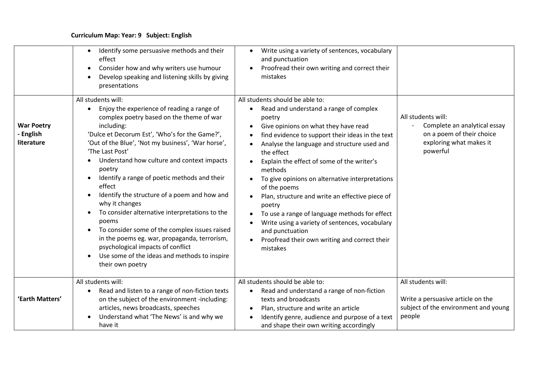## **Curriculum Map: Year: 9 Subject: English**

|                                              | Identify some persuasive methods and their<br>$\bullet$<br>effect<br>Consider how and why writers use humour<br>$\bullet$<br>Develop speaking and listening skills by giving<br>presentations                                                                                                                                                                                                                                                                                                                                                                                                                                                                                                                                                         | Write using a variety of sentences, vocabulary<br>$\bullet$<br>and punctuation<br>Proofread their own writing and correct their<br>mistakes                                                                                                                                                                                                                                                                                                                                                                                                                                                                                                                                  |                                                                                                                        |
|----------------------------------------------|-------------------------------------------------------------------------------------------------------------------------------------------------------------------------------------------------------------------------------------------------------------------------------------------------------------------------------------------------------------------------------------------------------------------------------------------------------------------------------------------------------------------------------------------------------------------------------------------------------------------------------------------------------------------------------------------------------------------------------------------------------|------------------------------------------------------------------------------------------------------------------------------------------------------------------------------------------------------------------------------------------------------------------------------------------------------------------------------------------------------------------------------------------------------------------------------------------------------------------------------------------------------------------------------------------------------------------------------------------------------------------------------------------------------------------------------|------------------------------------------------------------------------------------------------------------------------|
| <b>War Poetry</b><br>- English<br>literature | All students will:<br>Enjoy the experience of reading a range of<br>$\bullet$<br>complex poetry based on the theme of war<br>including:<br>'Dulce et Decorum Est', 'Who's for the Game?',<br>'Out of the Blue', 'Not my business', 'War horse',<br>'The Last Post'<br>Understand how culture and context impacts<br>poetry<br>Identify a range of poetic methods and their<br>effect<br>Identify the structure of a poem and how and<br>$\bullet$<br>why it changes<br>To consider alternative interpretations to the<br>$\bullet$<br>poems<br>To consider some of the complex issues raised<br>in the poems eg. war, propaganda, terrorism,<br>psychological impacts of conflict<br>Use some of the ideas and methods to inspire<br>their own poetry | All students should be able to:<br>Read and understand a range of complex<br>$\bullet$<br>poetry<br>Give opinions on what they have read<br>$\bullet$<br>find evidence to support their ideas in the text<br>Analyse the language and structure used and<br>$\bullet$<br>the effect<br>Explain the effect of some of the writer's<br>methods<br>To give opinions on alternative interpretations<br>$\bullet$<br>of the poems<br>Plan, structure and write an effective piece of<br>poetry<br>To use a range of language methods for effect<br>Write using a variety of sentences, vocabulary<br>and punctuation<br>Proofread their own writing and correct their<br>mistakes | All students will:<br>Complete an analytical essay<br>on a poem of their choice<br>exploring what makes it<br>powerful |
| 'Earth Matters'                              | All students will:<br>Read and listen to a range of non-fiction texts<br>$\bullet$<br>on the subject of the environment -including:<br>articles, news broadcasts, speeches<br>Understand what 'The News' is and why we<br>have it                                                                                                                                                                                                                                                                                                                                                                                                                                                                                                                     | All students should be able to:<br>Read and understand a range of non-fiction<br>$\bullet$<br>texts and broadcasts<br>Plan, structure and write an article<br>Identify genre, audience and purpose of a text<br>and shape their own writing accordingly                                                                                                                                                                                                                                                                                                                                                                                                                      | All students will:<br>Write a persuasive article on the<br>subject of the environment and young<br>people              |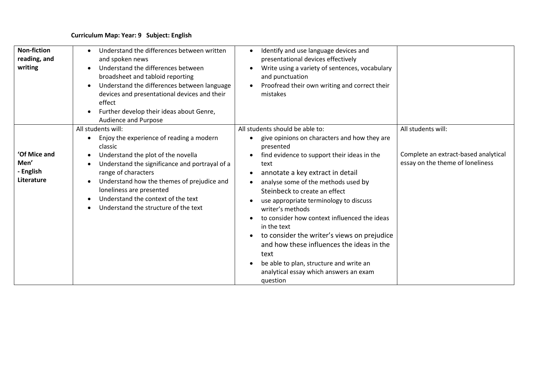## **Curriculum Map: Year: 9 Subject: English**

| <b>Non-fiction</b><br>reading, and<br>writing   | Understand the differences between written<br>$\bullet$<br>and spoken news<br>Understand the differences between<br>$\bullet$<br>broadsheet and tabloid reporting<br>Understand the differences between language<br>devices and presentational devices and their<br>effect<br>Further develop their ideas about Genre,<br><b>Audience and Purpose</b>                                   | Identify and use language devices and<br>$\bullet$<br>presentational devices effectively<br>Write using a variety of sentences, vocabulary<br>and punctuation<br>Proofread their own writing and correct their<br>mistakes                                                                                                                                                                                                                                                                                                                                                                                   |                                                                                                |
|-------------------------------------------------|-----------------------------------------------------------------------------------------------------------------------------------------------------------------------------------------------------------------------------------------------------------------------------------------------------------------------------------------------------------------------------------------|--------------------------------------------------------------------------------------------------------------------------------------------------------------------------------------------------------------------------------------------------------------------------------------------------------------------------------------------------------------------------------------------------------------------------------------------------------------------------------------------------------------------------------------------------------------------------------------------------------------|------------------------------------------------------------------------------------------------|
| 'Of Mice and<br>Men'<br>- English<br>Literature | All students will:<br>Enjoy the experience of reading a modern<br>$\bullet$<br>classic<br>Understand the plot of the novella<br>$\bullet$<br>Understand the significance and portrayal of a<br>range of characters<br>Understand how the themes of prejudice and<br>loneliness are presented<br>Understand the context of the text<br>$\bullet$<br>Understand the structure of the text | All students should be able to:<br>give opinions on characters and how they are<br>$\bullet$<br>presented<br>find evidence to support their ideas in the<br>$\bullet$<br>text<br>annotate a key extract in detail<br>$\bullet$<br>analyse some of the methods used by<br>Steinbeck to create an effect<br>use appropriate terminology to discuss<br>writer's methods<br>to consider how context influenced the ideas<br>in the text<br>to consider the writer's views on prejudice<br>$\bullet$<br>and how these influences the ideas in the<br>text<br>be able to plan, structure and write an<br>$\bullet$ | All students will:<br>Complete an extract-based analytical<br>essay on the theme of loneliness |
|                                                 |                                                                                                                                                                                                                                                                                                                                                                                         | analytical essay which answers an exam<br>question                                                                                                                                                                                                                                                                                                                                                                                                                                                                                                                                                           |                                                                                                |